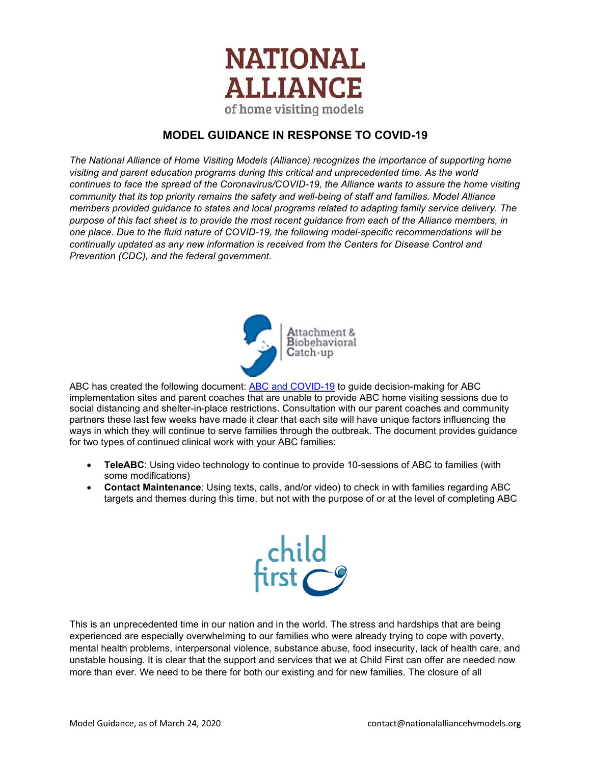

# **MODEL GUIDANCE IN RESPONSE TO COVID-19**

*The National Alliance of Home Visiting Models (Alliance) recognizes the importance of supporting home visiting and parent education programs during this critical and unprecedented time. As the world continues to face the spread of the Coronavirus/COVID-19, the Alliance wants to assure the home visiting community that its top priority remains the safety and well-being of staff and families. Model Alliance members provided guidance to states and local programs related to adapting family service delivery. The purpose of this fact sheet is to provide the most recent guidance from each of the Alliance members, in one place. Due to the fluid nature of COVID-19, the following model-specific recommendations will be continually updated as any new information is received from the Centers for Disease Control and Prevention (CDC), and the federal government.*



ABC has created the following document: [ABC and COVID-19](https://drive.google.com/open?id=1OYgUc1O5lppQF5zm_aEiciEnq_BiPr15) to guide decision-making for ABC implementation sites and parent coaches that are unable to provide ABC home visiting sessions due to social distancing and shelter-in-place restrictions. Consultation with our parent coaches and community partners these last few weeks have made it clear that each site will have unique factors influencing the ways in which they will continue to serve families through the outbreak. The document provides guidance for two types of continued clinical work with your ABC families:

- **TeleABC**: Using video technology to continue to provide 10-sessions of ABC to families (with some modifications)
- **Contact Maintenance**: Using texts, calls, and/or video) to check in with families regarding ABC targets and themes during this time, but not with the purpose of or at the level of completing ABC



This is an unprecedented time in our nation and in the world. The stress and hardships that are being experienced are especially overwhelming to our families who were already trying to cope with poverty, mental health problems, interpersonal violence, substance abuse, food insecurity, lack of health care, and unstable housing. It is clear that the support and services that we at Child First can offer are needed now more than ever. We need to be there for both our existing and for new families. The closure of all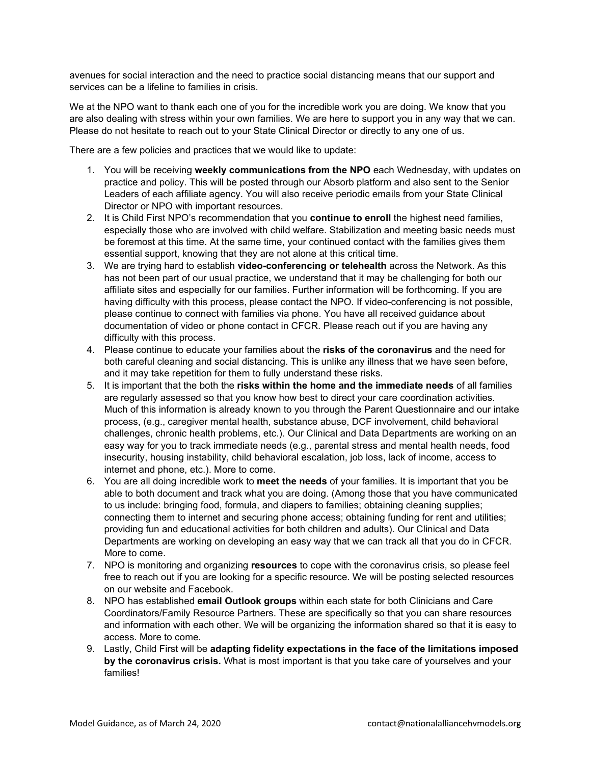avenues for social interaction and the need to practice social distancing means that our support and services can be a lifeline to families in crisis.

We at the NPO want to thank each one of you for the incredible work you are doing. We know that you are also dealing with stress within your own families. We are here to support you in any way that we can. Please do not hesitate to reach out to your State Clinical Director or directly to any one of us.

There are a few policies and practices that we would like to update:

- 1. You will be receiving **weekly communications from the NPO** each Wednesday, with updates on practice and policy. This will be posted through our Absorb platform and also sent to the Senior Leaders of each affiliate agency. You will also receive periodic emails from your State Clinical Director or NPO with important resources.
- 2. It is Child First NPO's recommendation that you **continue to enroll** the highest need families, especially those who are involved with child welfare. Stabilization and meeting basic needs must be foremost at this time. At the same time, your continued contact with the families gives them essential support, knowing that they are not alone at this critical time.
- 3. We are trying hard to establish **video-conferencing or telehealth** across the Network. As this has not been part of our usual practice, we understand that it may be challenging for both our affiliate sites and especially for our families. Further information will be forthcoming. If you are having difficulty with this process, please contact the NPO. If video-conferencing is not possible, please continue to connect with families via phone. You have all received guidance about documentation of video or phone contact in CFCR. Please reach out if you are having any difficulty with this process.
- 4. Please continue to educate your families about the **risks of the coronavirus** and the need for both careful cleaning and social distancing. This is unlike any illness that we have seen before, and it may take repetition for them to fully understand these risks.
- 5. It is important that the both the **risks within the home and the immediate needs** of all families are regularly assessed so that you know how best to direct your care coordination activities. Much of this information is already known to you through the Parent Questionnaire and our intake process, (e.g., caregiver mental health, substance abuse, DCF involvement, child behavioral challenges, chronic health problems, etc.). Our Clinical and Data Departments are working on an easy way for you to track immediate needs (e.g., parental stress and mental health needs, food insecurity, housing instability, child behavioral escalation, job loss, lack of income, access to internet and phone, etc.). More to come.
- 6. You are all doing incredible work to **meet the needs** of your families. It is important that you be able to both document and track what you are doing. (Among those that you have communicated to us include: bringing food, formula, and diapers to families; obtaining cleaning supplies; connecting them to internet and securing phone access; obtaining funding for rent and utilities; providing fun and educational activities for both children and adults). Our Clinical and Data Departments are working on developing an easy way that we can track all that you do in CFCR. More to come.
- 7. NPO is monitoring and organizing **resources** to cope with the coronavirus crisis, so please feel free to reach out if you are looking for a specific resource. We will be posting selected resources on our website and Facebook.
- 8. NPO has established **email Outlook groups** within each state for both Clinicians and Care Coordinators/Family Resource Partners. These are specifically so that you can share resources and information with each other. We will be organizing the information shared so that it is easy to access. More to come.
- 9. Lastly, Child First will be **adapting fidelity expectations in the face of the limitations imposed by the coronavirus crisis.** What is most important is that you take care of yourselves and your families!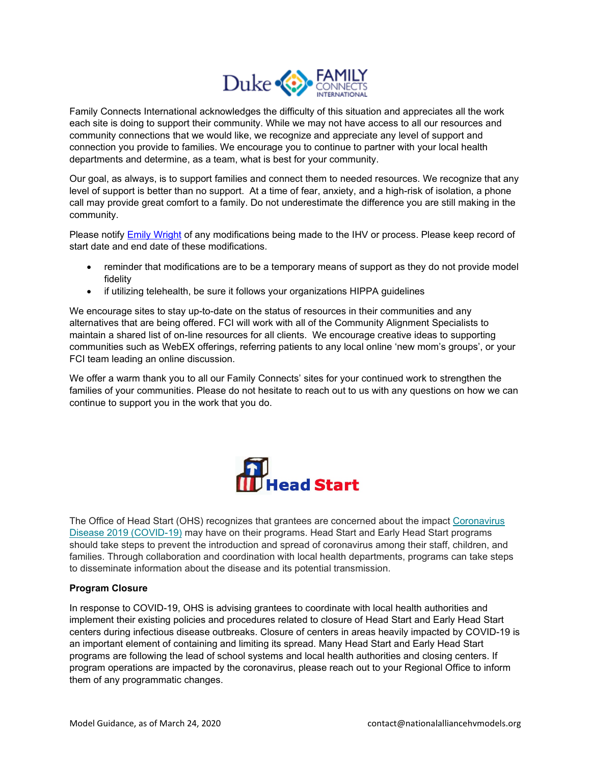

Family Connects International acknowledges the difficulty of this situation and appreciates all the work each site is doing to support their community. While we may not have access to all our resources and community connections that we would like, we recognize and appreciate any level of support and connection you provide to families. We encourage you to continue to partner with your local health departments and determine, as a team, what is best for your community.

Our goal, as always, is to support families and connect them to needed resources. We recognize that any level of support is better than no support. At a time of fear, anxiety, and a high-risk of isolation, a phone call may provide great comfort to a family. Do not underestimate the difference you are still making in the community.

Please notify [Emily Wright](mailto:%20emily.j.wright@duke.edu) of any modifications being made to the IHV or process. Please keep record of start date and end date of these modifications.

- reminder that modifications are to be a temporary means of support as they do not provide model fidelity
- if utilizing telehealth, be sure it follows your organizations HIPPA guidelines

We encourage sites to stay up-to-date on the status of resources in their communities and any alternatives that are being offered. FCI will work with all of the Community Alignment Specialists to maintain a shared list of on-line resources for all clients. We encourage creative ideas to supporting communities such as WebEX offerings, referring patients to any local online 'new mom's groups', or your FCI team leading an online discussion.

We offer a warm thank you to all our Family Connects' sites for your continued work to strengthen the families of your communities. Please do not hesitate to reach out to us with any questions on how we can continue to support you in the work that you do.



The Office of Head Start (OHS) recognizes that grantees are concerned about the impact [Coronavirus](https://www.cdc.gov/coronavirus/2019-ncov/index.html)  [Disease 2019 \(COVID-19\)](https://www.cdc.gov/coronavirus/2019-ncov/index.html) may have on their programs. Head Start and Early Head Start programs should take steps to prevent the introduction and spread of coronavirus among their staff, children, and families. Through collaboration and coordination with local health departments, programs can take steps to disseminate information about the disease and its potential transmission.

# **Program Closure**

In response to COVID-19, OHS is advising grantees to coordinate with local health authorities and implement their existing policies and procedures related to closure of Head Start and Early Head Start centers during infectious disease outbreaks. Closure of centers in areas heavily impacted by COVID-19 is an important element of containing and limiting its spread. Many Head Start and Early Head Start programs are following the lead of school systems and local health authorities and closing centers. If program operations are impacted by the coronavirus, please reach out to your Regional Office to inform them of any programmatic changes.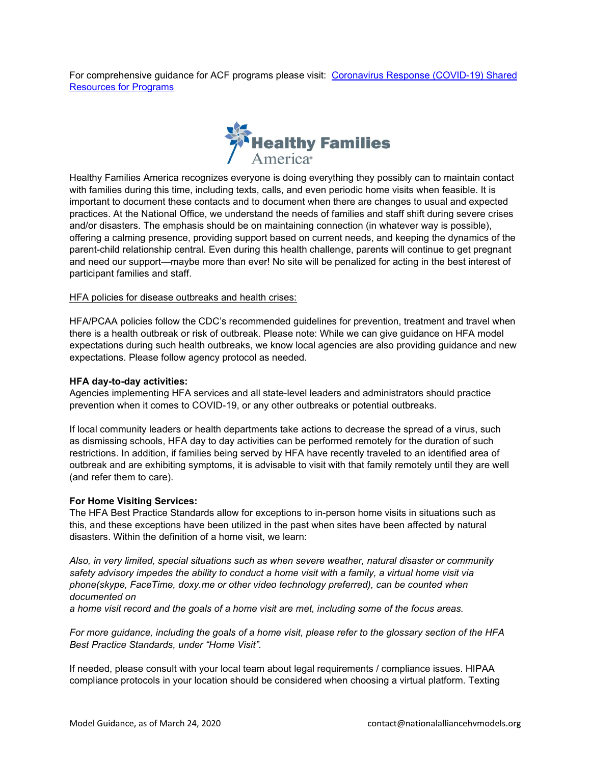For comprehensive guidance for ACF programs please visit: [Coronavirus Response \(COVID-19\) Shared](https://drive.google.com/open?id=1YrW2MJeNE5G2DxVvkaIbSZ4hGkrBv9kT)  [Resources for Programs](https://drive.google.com/open?id=1YrW2MJeNE5G2DxVvkaIbSZ4hGkrBv9kT)



Healthy Families America recognizes everyone is doing everything they possibly can to maintain contact with families during this time, including texts, calls, and even periodic home visits when feasible. It is important to document these contacts and to document when there are changes to usual and expected practices. At the National Office, we understand the needs of families and staff shift during severe crises and/or disasters. The emphasis should be on maintaining connection (in whatever way is possible), offering a calming presence, providing support based on current needs, and keeping the dynamics of the parent-child relationship central. Even during this health challenge, parents will continue to get pregnant and need our support—maybe more than ever! No site will be penalized for acting in the best interest of participant families and staff.

# HFA policies for disease outbreaks and health crises:

HFA/PCAA policies follow the CDC's recommended guidelines for prevention, treatment and travel when there is a health outbreak or risk of outbreak. Please note: While we can give guidance on HFA model expectations during such health outbreaks, we know local agencies are also providing guidance and new expectations. Please follow agency protocol as needed.

## **HFA day-to-day activities:**

Agencies implementing HFA services and all state-level leaders and administrators should practice prevention when it comes to COVID-19, or any other outbreaks or potential outbreaks.

If local community leaders or health departments take actions to decrease the spread of a virus, such as dismissing schools, HFA day to day activities can be performed remotely for the duration of such restrictions. In addition, if families being served by HFA have recently traveled to an identified area of outbreak and are exhibiting symptoms, it is advisable to visit with that family remotely until they are well (and refer them to care).

#### **For Home Visiting Services:**

The HFA Best Practice Standards allow for exceptions to in-person home visits in situations such as this, and these exceptions have been utilized in the past when sites have been affected by natural disasters. Within the definition of a home visit, we learn:

*Also, in very limited, special situations such as when severe weather, natural disaster or community safety advisory impedes the ability to conduct a home visit with a family, a virtual home visit via phone(skype, FaceTime, doxy.me or other video technology preferred), can be counted when documented on* 

*a home visit record and the goals of a home visit are met, including some of the focus areas.*

*For more guidance, including the goals of a home visit, please refer to the glossary section of the HFA Best Practice Standards, under "Home Visit".*

If needed, please consult with your local team about legal requirements / compliance issues. HIPAA compliance protocols in your location should be considered when choosing a virtual platform. Texting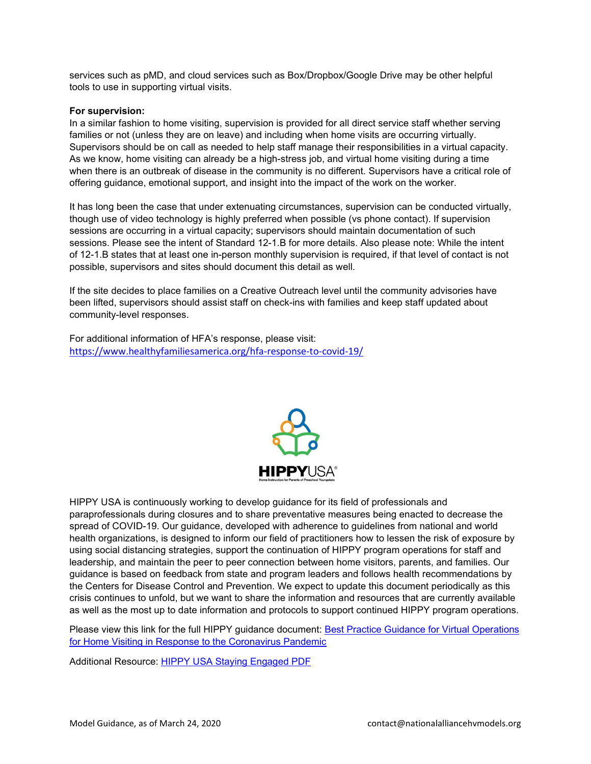services such as pMD, and cloud services such as Box/Dropbox/Google Drive may be other helpful tools to use in supporting virtual visits.

## **For supervision:**

In a similar fashion to home visiting, supervision is provided for all direct service staff whether serving families or not (unless they are on leave) and including when home visits are occurring virtually. Supervisors should be on call as needed to help staff manage their responsibilities in a virtual capacity. As we know, home visiting can already be a high-stress job, and virtual home visiting during a time when there is an outbreak of disease in the community is no different. Supervisors have a critical role of offering guidance, emotional support, and insight into the impact of the work on the worker.

It has long been the case that under extenuating circumstances, supervision can be conducted virtually, though use of video technology is highly preferred when possible (vs phone contact). If supervision sessions are occurring in a virtual capacity; supervisors should maintain documentation of such sessions. Please see the intent of Standard 12-1.B for more details. Also please note: While the intent of 12-1.B states that at least one in-person monthly supervision is required, if that level of contact is not possible, supervisors and sites should document this detail as well.

If the site decides to place families on a Creative Outreach level until the community advisories have been lifted, supervisors should assist staff on check-ins with families and keep staff updated about community-level responses.

For additional information of HFA's response, please visit: <https://www.healthyfamiliesamerica.org/hfa-response-to-covid-19/>



HIPPY USA is continuously working to develop guidance for its field of professionals and paraprofessionals during closures and to share preventative measures being enacted to decrease the spread of COVID-19. Our guidance, developed with adherence to guidelines from national and world health organizations, is designed to inform our field of practitioners how to lessen the risk of exposure by using social distancing strategies, support the continuation of HIPPY program operations for staff and leadership, and maintain the peer to peer connection between home visitors, parents, and families. Our guidance is based on feedback from state and program leaders and follows health recommendations by the Centers for Disease Control and Prevention. We expect to update this document periodically as this crisis continues to unfold, but we want to share the information and resources that are currently available as well as the most up to date information and protocols to support continued HIPPY program operations.

Please view this link for the full HIPPY guidance document: Best Practice Guidance for Virtual Operations [for Home Visiting in Response to the Coronavirus Pandemic](https://drive.google.com/open?id=1VJYIhnBnD6C-v1LBFvQpGuimSNeGqlWh)

Additional Resource: [HIPPY USA Staying Engaged PDF](https://drive.google.com/open?id=1mKEplePzK1Nf0gSrqIoB_LZLj-ObBveN)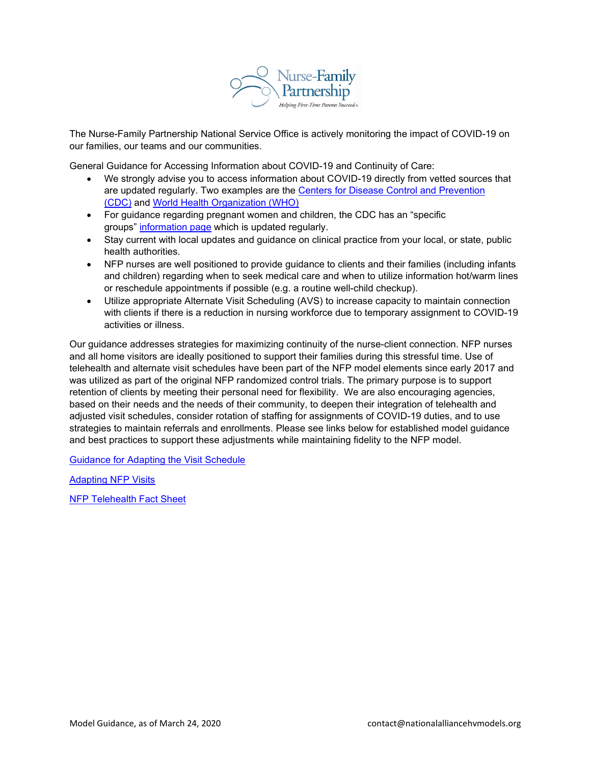

The Nurse-Family Partnership National Service Office is actively monitoring the impact of COVID-19 on our families, our teams and our communities.

General Guidance for Accessing Information about COVID-19 and Continuity of Care:

- We strongly advise you to access information about COVID-19 directly from vetted sources that are updated regularly. Two examples are the [Centers for Disease Control and Prevention](https://cdc.gov/)  [\(CDC\)](https://cdc.gov/) and [World Health Organization \(WHO\)](http://who.int/)
- For guidance regarding pregnant women and children, the CDC has an "specific groups" [information page](https://www.cdc.gov/coronavirus/2019-ncov/specific-groups/) which is updated regularly.
- Stay current with local updates and guidance on clinical practice from your local, or state, public health authorities.
- NFP nurses are well positioned to provide guidance to clients and their families (including infants and children) regarding when to seek medical care and when to utilize information hot/warm lines or reschedule appointments if possible (e.g. a routine well-child checkup).
- Utilize appropriate Alternate Visit Scheduling (AVS) to increase capacity to maintain connection with clients if there is a reduction in nursing workforce due to temporary assignment to COVID-19 activities or illness.

Our guidance addresses strategies for maximizing continuity of the nurse-client connection. NFP nurses and all home visitors are ideally positioned to support their families during this stressful time. Use of telehealth and alternate visit schedules have been part of the NFP model elements since early 2017 and was utilized as part of the original NFP randomized control trials. The primary purpose is to support retention of clients by meeting their personal need for flexibility. We are also encouraging agencies, based on their needs and the needs of their community, to deepen their integration of telehealth and adjusted visit schedules, consider rotation of staffing for assignments of COVID-19 duties, and to use strategies to maintain referrals and enrollments. Please see links below for established model guidance and best practices to support these adjustments while maintaining fidelity to the NFP model.

Guidance for Adapting the [Visit Schedule](https://drive.google.com/open?id=1fgSBxpxUkBdB3E6DbRNZhBIgwHqAnv1B)

[Adapting NFP Visits](https://drive.google.com/open?id=1kpoQhmtIqtCETxg5IWgiOoEdU7DGxHyG)

[NFP Telehealth Fact Sheet](https://drive.google.com/open?id=1TpvWhT4tBDb6UqslQqziwfB3gcC-rgvb)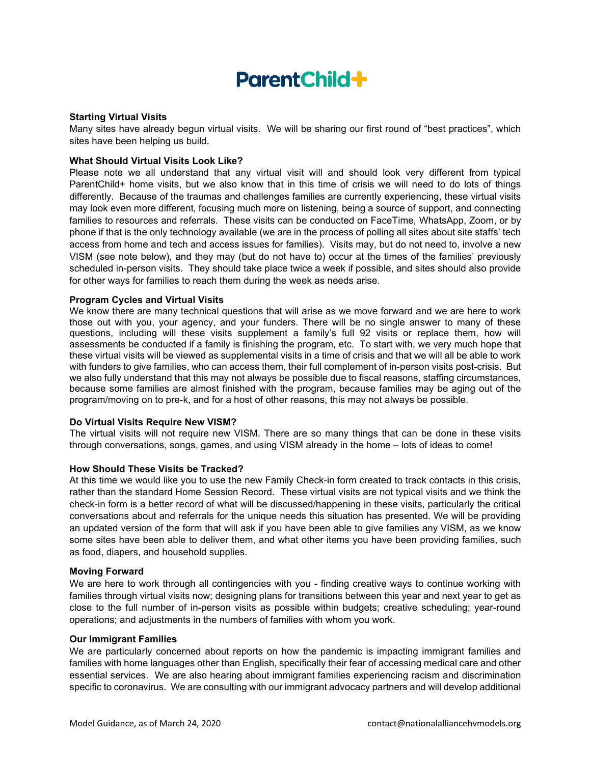# **ParentChild+**

# **Starting Virtual Visits**

Many sites have already begun virtual visits. We will be sharing our first round of "best practices", which sites have been helping us build.

#### **What Should Virtual Visits Look Like?**

Please note we all understand that any virtual visit will and should look very different from typical ParentChild+ home visits, but we also know that in this time of crisis we will need to do lots of things differently. Because of the traumas and challenges families are currently experiencing, these virtual visits may look even more different, focusing much more on listening, being a source of support, and connecting families to resources and referrals. These visits can be conducted on FaceTime, WhatsApp, Zoom, or by phone if that is the only technology available (we are in the process of polling all sites about site staffs' tech access from home and tech and access issues for families). Visits may, but do not need to, involve a new VISM (see note below), and they may (but do not have to) occur at the times of the families' previously scheduled in-person visits. They should take place twice a week if possible, and sites should also provide for other ways for families to reach them during the week as needs arise.

## **Program Cycles and Virtual Visits**

We know there are many technical questions that will arise as we move forward and we are here to work those out with you, your agency, and your funders. There will be no single answer to many of these questions, including will these visits supplement a family's full 92 visits or replace them, how will assessments be conducted if a family is finishing the program, etc. To start with, we very much hope that these virtual visits will be viewed as supplemental visits in a time of crisis and that we will all be able to work with funders to give families, who can access them, their full complement of in-person visits post-crisis. But we also fully understand that this may not always be possible due to fiscal reasons, staffing circumstances, because some families are almost finished with the program, because families may be aging out of the program/moving on to pre-k, and for a host of other reasons, this may not always be possible.

#### **Do Virtual Visits Require New VISM?**

The virtual visits will not require new VISM. There are so many things that can be done in these visits through conversations, songs, games, and using VISM already in the home – lots of ideas to come!

#### **How Should These Visits be Tracked?**

At this time we would like you to use the new Family Check-in form created to track contacts in this crisis, rather than the standard Home Session Record. These virtual visits are not typical visits and we think the check-in form is a better record of what will be discussed/happening in these visits, particularly the critical conversations about and referrals for the unique needs this situation has presented. We will be providing an updated version of the form that will ask if you have been able to give families any VISM, as we know some sites have been able to deliver them, and what other items you have been providing families, such as food, diapers, and household supplies.

#### **Moving Forward**

We are here to work through all contingencies with you - finding creative ways to continue working with families through virtual visits now; designing plans for transitions between this year and next year to get as close to the full number of in-person visits as possible within budgets; creative scheduling; year-round operations; and adjustments in the numbers of families with whom you work.

#### **Our Immigrant Families**

We are particularly concerned about reports on how the pandemic is impacting immigrant families and families with home languages other than English, specifically their fear of accessing medical care and other essential services. We are also hearing about immigrant families experiencing racism and discrimination specific to coronavirus. We are consulting with our immigrant advocacy partners and will develop additional